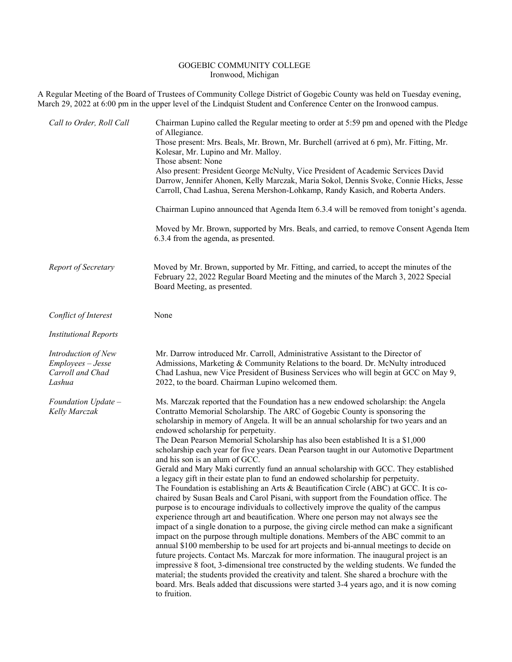## GOGEBIC COMMUNITY COLLEGE Ironwood, Michigan

A Regular Meeting of the Board of Trustees of Community College District of Gogebic County was held on Tuesday evening, March 29, 2022 at 6:00 pm in the upper level of the Lindquist Student and Conference Center on the Ironwood campus.

| Call to Order, Roll Call                                               | Chairman Lupino called the Regular meeting to order at 5:59 pm and opened with the Pledge<br>of Allegiance.<br>Those present: Mrs. Beals, Mr. Brown, Mr. Burchell (arrived at 6 pm), Mr. Fitting, Mr.<br>Kolesar, Mr. Lupino and Mr. Malloy.<br>Those absent: None<br>Also present: President George McNulty, Vice President of Academic Services David<br>Darrow, Jennifer Ahonen, Kelly Marczak, Maria Sokol, Dennis Svoke, Connie Hicks, Jesse<br>Carroll, Chad Lashua, Serena Mershon-Lohkamp, Randy Kasich, and Roberta Anders.<br>Chairman Lupino announced that Agenda Item 6.3.4 will be removed from tonight's agenda.<br>Moved by Mr. Brown, supported by Mrs. Beals, and carried, to remove Consent Agenda Item                                                                                                                                                                                                                                                                                                                                                                                                                                                                                                                                                                                                                                                                                                                                                                                                                                                                                                                                                                                                                    |
|------------------------------------------------------------------------|-----------------------------------------------------------------------------------------------------------------------------------------------------------------------------------------------------------------------------------------------------------------------------------------------------------------------------------------------------------------------------------------------------------------------------------------------------------------------------------------------------------------------------------------------------------------------------------------------------------------------------------------------------------------------------------------------------------------------------------------------------------------------------------------------------------------------------------------------------------------------------------------------------------------------------------------------------------------------------------------------------------------------------------------------------------------------------------------------------------------------------------------------------------------------------------------------------------------------------------------------------------------------------------------------------------------------------------------------------------------------------------------------------------------------------------------------------------------------------------------------------------------------------------------------------------------------------------------------------------------------------------------------------------------------------------------------------------------------------------------------|
|                                                                        | 6.3.4 from the agenda, as presented.                                                                                                                                                                                                                                                                                                                                                                                                                                                                                                                                                                                                                                                                                                                                                                                                                                                                                                                                                                                                                                                                                                                                                                                                                                                                                                                                                                                                                                                                                                                                                                                                                                                                                                          |
| Report of Secretary                                                    | Moved by Mr. Brown, supported by Mr. Fitting, and carried, to accept the minutes of the<br>February 22, 2022 Regular Board Meeting and the minutes of the March 3, 2022 Special<br>Board Meeting, as presented.                                                                                                                                                                                                                                                                                                                                                                                                                                                                                                                                                                                                                                                                                                                                                                                                                                                                                                                                                                                                                                                                                                                                                                                                                                                                                                                                                                                                                                                                                                                               |
| Conflict of Interest                                                   | None                                                                                                                                                                                                                                                                                                                                                                                                                                                                                                                                                                                                                                                                                                                                                                                                                                                                                                                                                                                                                                                                                                                                                                                                                                                                                                                                                                                                                                                                                                                                                                                                                                                                                                                                          |
| <b>Institutional Reports</b>                                           |                                                                                                                                                                                                                                                                                                                                                                                                                                                                                                                                                                                                                                                                                                                                                                                                                                                                                                                                                                                                                                                                                                                                                                                                                                                                                                                                                                                                                                                                                                                                                                                                                                                                                                                                               |
| Introduction of New<br>Employees - Jesse<br>Carroll and Chad<br>Lashua | Mr. Darrow introduced Mr. Carroll, Administrative Assistant to the Director of<br>Admissions, Marketing & Community Relations to the board. Dr. McNulty introduced<br>Chad Lashua, new Vice President of Business Services who will begin at GCC on May 9,<br>2022, to the board. Chairman Lupino welcomed them.                                                                                                                                                                                                                                                                                                                                                                                                                                                                                                                                                                                                                                                                                                                                                                                                                                                                                                                                                                                                                                                                                                                                                                                                                                                                                                                                                                                                                              |
| Foundation Update -<br>Kelly Marczak                                   | Ms. Marczak reported that the Foundation has a new endowed scholarship: the Angela<br>Contratto Memorial Scholarship. The ARC of Gogebic County is sponsoring the<br>scholarship in memory of Angela. It will be an annual scholarship for two years and an<br>endowed scholarship for perpetuity.<br>The Dean Pearson Memorial Scholarship has also been established It is a \$1,000<br>scholarship each year for five years. Dean Pearson taught in our Automotive Department<br>and his son is an alum of GCC.<br>Gerald and Mary Maki currently fund an annual scholarship with GCC. They established<br>a legacy gift in their estate plan to fund an endowed scholarship for perpetuity.<br>The Foundation is establishing an Arts & Beautification Circle (ABC) at GCC. It is co-<br>chaired by Susan Beals and Carol Pisani, with support from the Foundation office. The<br>purpose is to encourage individuals to collectively improve the quality of the campus<br>experience through art and beautification. Where one person may not always see the<br>impact of a single donation to a purpose, the giving circle method can make a significant<br>impact on the purpose through multiple donations. Members of the ABC commit to an<br>annual \$100 membership to be used for art projects and bi-annual meetings to decide on<br>future projects. Contact Ms. Marczak for more information. The inaugural project is an<br>impressive 8 foot, 3-dimensional tree constructed by the welding students. We funded the<br>material; the students provided the creativity and talent. She shared a brochure with the<br>board. Mrs. Beals added that discussions were started 3-4 years ago, and it is now coming<br>to fruition. |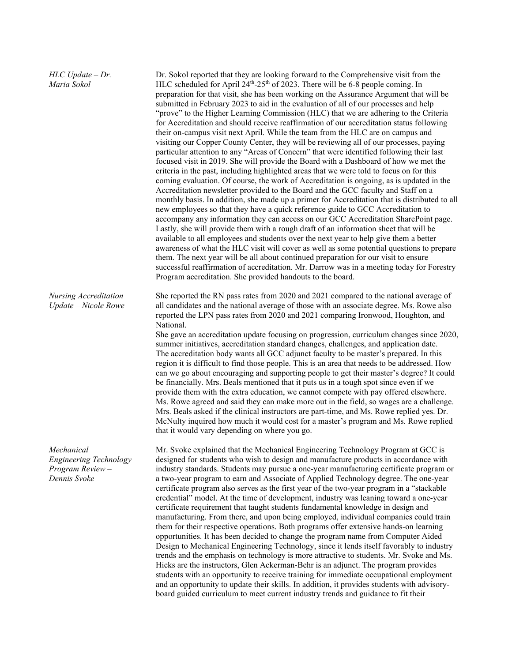| $HLC$ Update $-Dr$ .<br>Maria Sokol                                     | Dr. Sokol reported that they are looking forward to the Comprehensive visit from the<br>HLC scheduled for April 24 <sup>th</sup> -25 <sup>th</sup> of 2023. There will be 6-8 people coming. In<br>preparation for that visit, she has been working on the Assurance Argument that will be<br>submitted in February 2023 to aid in the evaluation of all of our processes and help<br>"prove" to the Higher Learning Commission (HLC) that we are adhering to the Criteria<br>for Accreditation and should receive reaffirmation of our accreditation status following<br>their on-campus visit next April. While the team from the HLC are on campus and<br>visiting our Copper County Center, they will be reviewing all of our processes, paying<br>particular attention to any "Areas of Concern" that were identified following their last<br>focused visit in 2019. She will provide the Board with a Dashboard of how we met the<br>criteria in the past, including highlighted areas that we were told to focus on for this<br>coming evaluation. Of course, the work of Accreditation is ongoing, as is updated in the<br>Accreditation newsletter provided to the Board and the GCC faculty and Staff on a<br>monthly basis. In addition, she made up a primer for Accreditation that is distributed to all<br>new employees so that they have a quick reference guide to GCC Accreditation to<br>accompany any information they can access on our GCC Accreditation SharePoint page.<br>Lastly, she will provide them with a rough draft of an information sheet that will be<br>available to all employees and students over the next year to help give them a better<br>awareness of what the HLC visit will cover as well as some potential questions to prepare<br>them. The next year will be all about continued preparation for our visit to ensure<br>successful reaffirmation of accreditation. Mr. Darrow was in a meeting today for Forestry<br>Program accreditation. She provided handouts to the board. |
|-------------------------------------------------------------------------|----------------------------------------------------------------------------------------------------------------------------------------------------------------------------------------------------------------------------------------------------------------------------------------------------------------------------------------------------------------------------------------------------------------------------------------------------------------------------------------------------------------------------------------------------------------------------------------------------------------------------------------------------------------------------------------------------------------------------------------------------------------------------------------------------------------------------------------------------------------------------------------------------------------------------------------------------------------------------------------------------------------------------------------------------------------------------------------------------------------------------------------------------------------------------------------------------------------------------------------------------------------------------------------------------------------------------------------------------------------------------------------------------------------------------------------------------------------------------------------------------------------------------------------------------------------------------------------------------------------------------------------------------------------------------------------------------------------------------------------------------------------------------------------------------------------------------------------------------------------------------------------------------------------------------------------------------------------------------------------------------------------------------------|
| Nursing Accreditation<br>Update - Nicole Rowe                           | She reported the RN pass rates from 2020 and 2021 compared to the national average of<br>all candidates and the national average of those with an associate degree. Ms. Rowe also<br>reported the LPN pass rates from 2020 and 2021 comparing Ironwood, Houghton, and<br>National.<br>She gave an accreditation update focusing on progression, curriculum changes since 2020,<br>summer initiatives, accreditation standard changes, challenges, and application date.<br>The accreditation body wants all GCC adjunct faculty to be master's prepared. In this<br>region it is difficult to find those people. This is an area that needs to be addressed. How<br>can we go about encouraging and supporting people to get their master's degree? It could<br>be financially. Mrs. Beals mentioned that it puts us in a tough spot since even if we<br>provide them with the extra education, we cannot compete with pay offered elsewhere.<br>Ms. Rowe agreed and said they can make more out in the field, so wages are a challenge.<br>Mrs. Beals asked if the clinical instructors are part-time, and Ms. Rowe replied yes. Dr.<br>McNulty inquired how much it would cost for a master's program and Ms. Rowe replied<br>that it would vary depending on where you go.                                                                                                                                                                                                                                                                                                                                                                                                                                                                                                                                                                                                                                                                                                                                                    |
| Mechanical<br>Engineering Technology<br>Program Review-<br>Dennis Svoke | Mr. Svoke explained that the Mechanical Engineering Technology Program at GCC is<br>designed for students who wish to design and manufacture products in accordance with<br>industry standards. Students may pursue a one-year manufacturing certificate program or<br>a two-year program to earn and Associate of Applied Technology degree. The one-year<br>certificate program also serves as the first year of the two-year program in a "stackable"<br>credential" model. At the time of development, industry was leaning toward a one-year<br>certificate requirement that taught students fundamental knowledge in design and<br>manufacturing. From there, and upon being employed, individual companies could train<br>them for their respective operations. Both programs offer extensive hands-on learning<br>opportunities. It has been decided to change the program name from Computer Aided<br>Design to Mechanical Engineering Technology, since it lends itself favorably to industry<br>trends and the emphasis on technology is more attractive to students. Mr. Svoke and Ms.<br>Hicks are the instructors, Glen Ackerman-Behr is an adjunct. The program provides<br>students with an opportunity to receive training for immediate occupational employment                                                                                                                                                                                                                                                                                                                                                                                                                                                                                                                                                                                                                                                                                                                                                |

students with an opportunity to receive training for immediate occupational employment and an opportunity to update their skills. In addition, it provides students with advisoryboard guided curriculum to meet current industry trends and guidance to fit their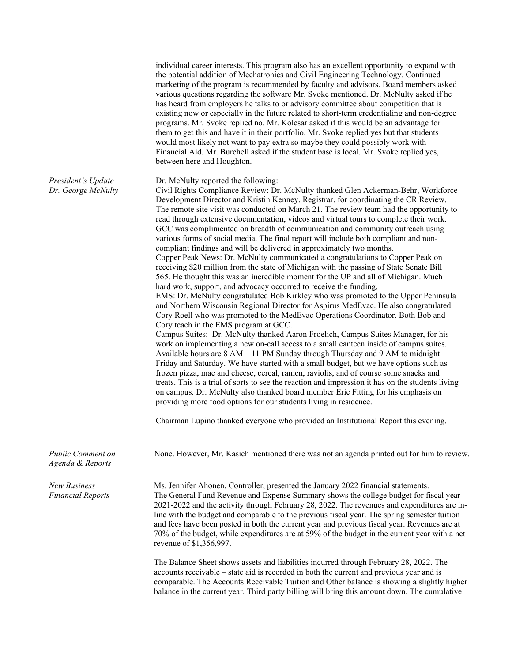|                                              | individual career interests. This program also has an excellent opportunity to expand with<br>the potential addition of Mechatronics and Civil Engineering Technology. Continued<br>marketing of the program is recommended by faculty and advisors. Board members asked<br>various questions regarding the software Mr. Svoke mentioned. Dr. McNulty asked if he<br>has heard from employers he talks to or advisory committee about competition that is<br>existing now or especially in the future related to short-term credentialing and non-degree<br>programs. Mr. Svoke replied no. Mr. Kolesar asked if this would be an advantage for<br>them to get this and have it in their portfolio. Mr. Svoke replied yes but that students<br>would most likely not want to pay extra so maybe they could possibly work with<br>Financial Aid. Mr. Burchell asked if the student base is local. Mr. Svoke replied yes,<br>between here and Houghton.                                                                                                                                                                                                                                                                                                                                                                                                                                                                                                                                                                                                                                                                                                                                                                                                                                                                                                                                                                                                                                                                                                                                                         |
|----------------------------------------------|---------------------------------------------------------------------------------------------------------------------------------------------------------------------------------------------------------------------------------------------------------------------------------------------------------------------------------------------------------------------------------------------------------------------------------------------------------------------------------------------------------------------------------------------------------------------------------------------------------------------------------------------------------------------------------------------------------------------------------------------------------------------------------------------------------------------------------------------------------------------------------------------------------------------------------------------------------------------------------------------------------------------------------------------------------------------------------------------------------------------------------------------------------------------------------------------------------------------------------------------------------------------------------------------------------------------------------------------------------------------------------------------------------------------------------------------------------------------------------------------------------------------------------------------------------------------------------------------------------------------------------------------------------------------------------------------------------------------------------------------------------------------------------------------------------------------------------------------------------------------------------------------------------------------------------------------------------------------------------------------------------------------------------------------------------------------------------------------------------------|
| President's $Update -$<br>Dr. George McNulty | Dr. McNulty reported the following:<br>Civil Rights Compliance Review: Dr. McNulty thanked Glen Ackerman-Behr, Workforce<br>Development Director and Kristin Kenney, Registrar, for coordinating the CR Review.<br>The remote site visit was conducted on March 21. The review team had the opportunity to<br>read through extensive documentation, videos and virtual tours to complete their work.<br>GCC was complimented on breadth of communication and community outreach using<br>various forms of social media. The final report will include both compliant and non-<br>compliant findings and will be delivered in approximately two months.<br>Copper Peak News: Dr. McNulty communicated a congratulations to Copper Peak on<br>receiving \$20 million from the state of Michigan with the passing of State Senate Bill<br>565. He thought this was an incredible moment for the UP and all of Michigan. Much<br>hard work, support, and advocacy occurred to receive the funding.<br>EMS: Dr. McNulty congratulated Bob Kirkley who was promoted to the Upper Peninsula<br>and Northern Wisconsin Regional Director for Aspirus MedEvac. He also congratulated<br>Cory Roell who was promoted to the MedEvac Operations Coordinator. Both Bob and<br>Cory teach in the EMS program at GCC.<br>Campus Suites: Dr. McNulty thanked Aaron Froelich, Campus Suites Manager, for his<br>work on implementing a new on-call access to a small canteen inside of campus suites.<br>Available hours are 8 AM - 11 PM Sunday through Thursday and 9 AM to midnight<br>Friday and Saturday. We have started with a small budget, but we have options such as<br>frozen pizza, mac and cheese, cereal, ramen, raviolis, and of course some snacks and<br>treats. This is a trial of sorts to see the reaction and impression it has on the students living<br>on campus. Dr. McNulty also thanked board member Eric Fitting for his emphasis on<br>providing more food options for our students living in residence.<br>Chairman Lupino thanked everyone who provided an Institutional Report this evening. |
| Public Comment on<br>Agenda & Reports        | None. However, Mr. Kasich mentioned there was not an agenda printed out for him to review.                                                                                                                                                                                                                                                                                                                                                                                                                                                                                                                                                                                                                                                                                                                                                                                                                                                                                                                                                                                                                                                                                                                                                                                                                                                                                                                                                                                                                                                                                                                                                                                                                                                                                                                                                                                                                                                                                                                                                                                                                    |
| New Business $-$<br><b>Financial Reports</b> | Ms. Jennifer Ahonen, Controller, presented the January 2022 financial statements.<br>The General Fund Revenue and Expense Summary shows the college budget for fiscal year<br>2021-2022 and the activity through February 28, 2022. The revenues and expenditures are in-<br>line with the budget and comparable to the previous fiscal year. The spring semester tuition<br>and fees have been posted in both the current year and previous fiscal year. Revenues are at<br>70% of the budget, while expenditures are at 59% of the budget in the current year with a net<br>revenue of \$1,356,997.                                                                                                                                                                                                                                                                                                                                                                                                                                                                                                                                                                                                                                                                                                                                                                                                                                                                                                                                                                                                                                                                                                                                                                                                                                                                                                                                                                                                                                                                                                         |
|                                              | The Balance Sheet shows assets and liabilities incurred through February 28, 2022. The<br>accounts receivable – state aid is recorded in both the current and previous year and is<br>comparable. The Accounts Receivable Tuition and Other balance is showing a slightly higher<br>balance in the current year. Third party billing will bring this amount down. The cumulative                                                                                                                                                                                                                                                                                                                                                                                                                                                                                                                                                                                                                                                                                                                                                                                                                                                                                                                                                                                                                                                                                                                                                                                                                                                                                                                                                                                                                                                                                                                                                                                                                                                                                                                              |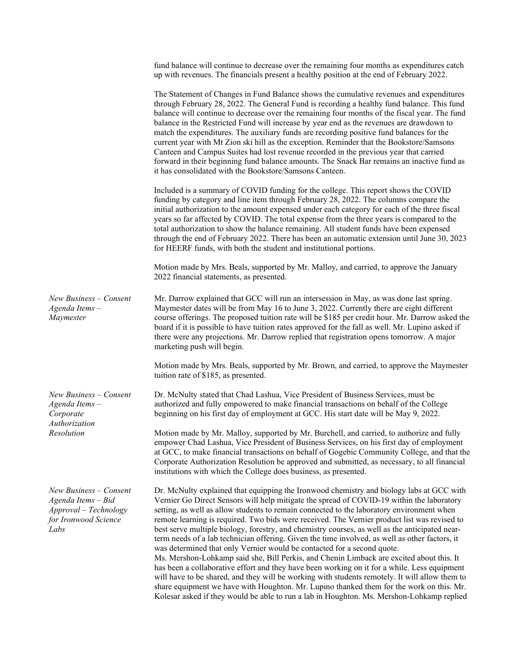|                                                                                                       | fund balance will continue to decrease over the remaining four months as expenditures catch<br>up with revenues. The financials present a healthy position at the end of February 2022.                                                                                                                                                                                                                                                                                                                                                                                                                                                                                                                                                                                                                                                                                                                                                                                                                                                                                                                                                                  |
|-------------------------------------------------------------------------------------------------------|----------------------------------------------------------------------------------------------------------------------------------------------------------------------------------------------------------------------------------------------------------------------------------------------------------------------------------------------------------------------------------------------------------------------------------------------------------------------------------------------------------------------------------------------------------------------------------------------------------------------------------------------------------------------------------------------------------------------------------------------------------------------------------------------------------------------------------------------------------------------------------------------------------------------------------------------------------------------------------------------------------------------------------------------------------------------------------------------------------------------------------------------------------|
|                                                                                                       | The Statement of Changes in Fund Balance shows the cumulative revenues and expenditures<br>through February 28, 2022. The General Fund is recording a healthy fund balance. This fund<br>balance will continue to decrease over the remaining four months of the fiscal year. The fund<br>balance in the Restricted Fund will increase by year end as the revenues are drawdown to<br>match the expenditures. The auxiliary funds are recording positive fund balances for the<br>current year with Mt Zion ski hill as the exception. Reminder that the Bookstore/Samsons<br>Canteen and Campus Suites had lost revenue recorded in the previous year that carried<br>forward in their beginning fund balance amounts. The Snack Bar remains an inactive fund as<br>it has consolidated with the Bookstore/Samsons Canteen.                                                                                                                                                                                                                                                                                                                             |
|                                                                                                       | Included is a summary of COVID funding for the college. This report shows the COVID<br>funding by category and line item through February 28, 2022. The columns compare the<br>initial authorization to the amount expensed under each category for each of the three fiscal<br>years so far affected by COVID. The total expense from the three years is compared to the<br>total authorization to show the balance remaining. All student funds have been expensed<br>through the end of February 2022. There has been an automatic extension until June 30, 2023<br>for HEERF funds, with both the student and institutional portions.                                                                                                                                                                                                                                                                                                                                                                                                                                                                                                                |
|                                                                                                       | Motion made by Mrs. Beals, supported by Mr. Malloy, and carried, to approve the January<br>2022 financial statements, as presented.                                                                                                                                                                                                                                                                                                                                                                                                                                                                                                                                                                                                                                                                                                                                                                                                                                                                                                                                                                                                                      |
| New Business – Consent<br>Agenda Items-<br>Maymester                                                  | Mr. Darrow explained that GCC will run an intersession in May, as was done last spring.<br>Maymester dates will be from May 16 to June 3, 2022. Currently there are eight different<br>course offerings. The proposed tuition rate will be \$185 per credit hour. Mr. Darrow asked the<br>board if it is possible to have tuition rates approved for the fall as well. Mr. Lupino asked if<br>there were any projections. Mr. Darrow replied that registration opens tomorrow. A major<br>marketing push will begin.                                                                                                                                                                                                                                                                                                                                                                                                                                                                                                                                                                                                                                     |
|                                                                                                       | Motion made by Mrs. Beals, supported by Mr. Brown, and carried, to approve the Maymester<br>tuition rate of \$185, as presented.                                                                                                                                                                                                                                                                                                                                                                                                                                                                                                                                                                                                                                                                                                                                                                                                                                                                                                                                                                                                                         |
| New Business - Consent<br>Agenda Items-<br>Corporate<br>Authorization<br>Resolution                   | Dr. McNulty stated that Chad Lashua, Vice President of Business Services, must be<br>authorized and fully empowered to make financial transactions on behalf of the College<br>beginning on his first day of employment at GCC. His start date will be May 9, 2022.                                                                                                                                                                                                                                                                                                                                                                                                                                                                                                                                                                                                                                                                                                                                                                                                                                                                                      |
|                                                                                                       | Motion made by Mr. Malloy, supported by Mr. Burchell, and carried, to authorize and fully<br>empower Chad Lashua, Vice President of Business Services, on his first day of employment<br>at GCC, to make financial transactions on behalf of Gogebic Community College, and that the<br>Corporate Authorization Resolution be approved and submitted, as necessary, to all financial<br>institutions with which the College does business, as presented.                                                                                                                                                                                                                                                                                                                                                                                                                                                                                                                                                                                                                                                                                                 |
| New Business – Consent<br>Agenda Items - Bid<br>Approval - Technology<br>for Ironwood Science<br>Labs | Dr. McNulty explained that equipping the Ironwood chemistry and biology labs at GCC with<br>Vernier Go Direct Sensors will help mitigate the spread of COVID-19 within the laboratory<br>setting, as well as allow students to remain connected to the laboratory environment when<br>remote learning is required. Two bids were received. The Vernier product list was revised to<br>best serve multiple biology, forestry, and chemistry courses, as well as the anticipated near-<br>term needs of a lab technician offering. Given the time involved, as well as other factors, it<br>was determined that only Vernier would be contacted for a second quote.<br>Ms. Mershon-Lohkamp said she, Bill Perkis, and Chenin Limback are excited about this. It<br>has been a collaborative effort and they have been working on it for a while. Less equipment<br>will have to be shared, and they will be working with students remotely. It will allow them to<br>share equipment we have with Houghton. Mr. Lupino thanked them for the work on this. Mr.<br>Kolesar asked if they would be able to run a lab in Houghton. Ms. Mershon-Lohkamp replied |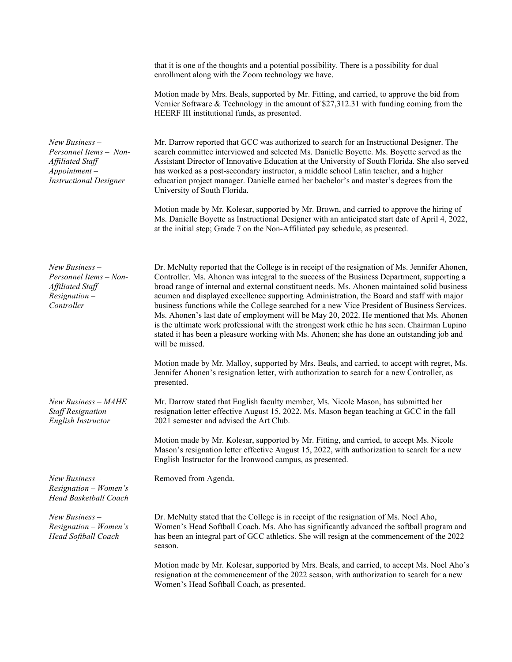|                                                                                                                 | that it is one of the thoughts and a potential possibility. There is a possibility for dual<br>enrollment along with the Zoom technology we have.                                                                                                                                                                                                                                                                                                                                                                                                                                                                                                                                                                                                                                                      |
|-----------------------------------------------------------------------------------------------------------------|--------------------------------------------------------------------------------------------------------------------------------------------------------------------------------------------------------------------------------------------------------------------------------------------------------------------------------------------------------------------------------------------------------------------------------------------------------------------------------------------------------------------------------------------------------------------------------------------------------------------------------------------------------------------------------------------------------------------------------------------------------------------------------------------------------|
|                                                                                                                 | Motion made by Mrs. Beals, supported by Mr. Fitting, and carried, to approve the bid from<br>Vernier Software & Technology in the amount of $$27,312.31$ with funding coming from the<br>HEERF III institutional funds, as presented.                                                                                                                                                                                                                                                                                                                                                                                                                                                                                                                                                                  |
| New Business-<br>Personnel Items - Non-<br>Affiliated Staff<br>$Appointment -$<br><b>Instructional Designer</b> | Mr. Darrow reported that GCC was authorized to search for an Instructional Designer. The<br>search committee interviewed and selected Ms. Danielle Boyette. Ms. Boyette served as the<br>Assistant Director of Innovative Education at the University of South Florida. She also served<br>has worked as a post-secondary instructor, a middle school Latin teacher, and a higher<br>education project manager. Danielle earned her bachelor's and master's degrees from the<br>University of South Florida.                                                                                                                                                                                                                                                                                           |
|                                                                                                                 | Motion made by Mr. Kolesar, supported by Mr. Brown, and carried to approve the hiring of<br>Ms. Danielle Boyette as Instructional Designer with an anticipated start date of April 4, 2022,<br>at the initial step; Grade 7 on the Non-Affiliated pay schedule, as presented.                                                                                                                                                                                                                                                                                                                                                                                                                                                                                                                          |
| $New Business -$<br>Personnel Items - Non-<br>Affiliated Staff<br>$Resignation -$<br>Controller                 | Dr. McNulty reported that the College is in receipt of the resignation of Ms. Jennifer Ahonen,<br>Controller. Ms. Ahonen was integral to the success of the Business Department, supporting a<br>broad range of internal and external constituent needs. Ms. Ahonen maintained solid business<br>acumen and displayed excellence supporting Administration, the Board and staff with major<br>business functions while the College searched for a new Vice President of Business Services.<br>Ms. Ahonen's last date of employment will be May 20, 2022. He mentioned that Ms. Ahonen<br>is the ultimate work professional with the strongest work ethic he has seen. Chairman Lupino<br>stated it has been a pleasure working with Ms. Ahonen; she has done an outstanding job and<br>will be missed. |
|                                                                                                                 | Motion made by Mr. Malloy, supported by Mrs. Beals, and carried, to accept with regret, Ms.<br>Jennifer Ahonen's resignation letter, with authorization to search for a new Controller, as<br>presented.                                                                                                                                                                                                                                                                                                                                                                                                                                                                                                                                                                                               |
| New Business - MAHE<br>Staff Resignation -<br>English Instructor                                                | Mr. Darrow stated that English faculty member, Ms. Nicole Mason, has submitted her<br>resignation letter effective August 15, 2022. Ms. Mason began teaching at GCC in the fall<br>2021 semester and advised the Art Club.                                                                                                                                                                                                                                                                                                                                                                                                                                                                                                                                                                             |
|                                                                                                                 | Motion made by Mr. Kolesar, supported by Mr. Fitting, and carried, to accept Ms. Nicole<br>Mason's resignation letter effective August 15, 2022, with authorization to search for a new<br>English Instructor for the Ironwood campus, as presented.                                                                                                                                                                                                                                                                                                                                                                                                                                                                                                                                                   |
| $New Business -$<br>Resignation - Women's<br>Head Basketball Coach                                              | Removed from Agenda.                                                                                                                                                                                                                                                                                                                                                                                                                                                                                                                                                                                                                                                                                                                                                                                   |
| $New Business -$<br>Resignation - Women's<br><b>Head Softball Coach</b>                                         | Dr. McNulty stated that the College is in receipt of the resignation of Ms. Noel Aho,<br>Women's Head Softball Coach. Ms. Aho has significantly advanced the softball program and<br>has been an integral part of GCC athletics. She will resign at the commencement of the 2022<br>season.                                                                                                                                                                                                                                                                                                                                                                                                                                                                                                            |
|                                                                                                                 | Motion made by Mr. Kolesar, supported by Mrs. Beals, and carried, to accept Ms. Noel Aho's<br>resignation at the commencement of the 2022 season, with authorization to search for a new<br>Women's Head Softball Coach, as presented.                                                                                                                                                                                                                                                                                                                                                                                                                                                                                                                                                                 |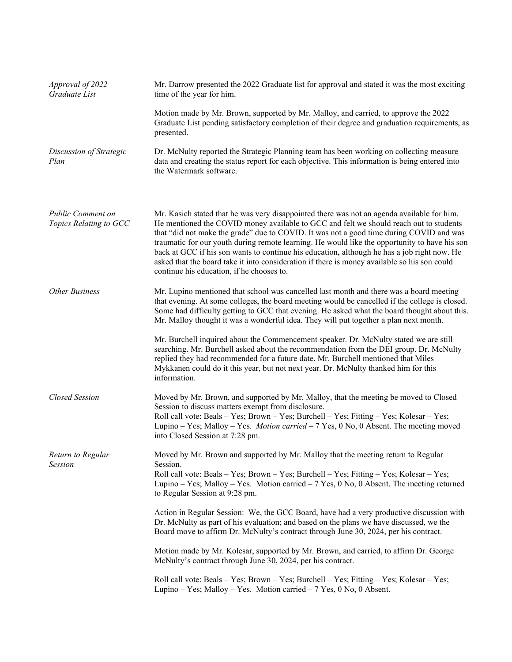| Approval of 2022<br>Graduate List           | Mr. Darrow presented the 2022 Graduate list for approval and stated it was the most exciting<br>time of the year for him.                                                                                                                                                                                                                                                                                                                                                                                                                                                                                                    |
|---------------------------------------------|------------------------------------------------------------------------------------------------------------------------------------------------------------------------------------------------------------------------------------------------------------------------------------------------------------------------------------------------------------------------------------------------------------------------------------------------------------------------------------------------------------------------------------------------------------------------------------------------------------------------------|
|                                             | Motion made by Mr. Brown, supported by Mr. Malloy, and carried, to approve the 2022<br>Graduate List pending satisfactory completion of their degree and graduation requirements, as<br>presented.                                                                                                                                                                                                                                                                                                                                                                                                                           |
| Discussion of Strategic<br>Plan             | Dr. McNulty reported the Strategic Planning team has been working on collecting measure<br>data and creating the status report for each objective. This information is being entered into<br>the Watermark software.                                                                                                                                                                                                                                                                                                                                                                                                         |
| Public Comment on<br>Topics Relating to GCC | Mr. Kasich stated that he was very disappointed there was not an agenda available for him.<br>He mentioned the COVID money available to GCC and felt we should reach out to students<br>that "did not make the grade" due to COVID. It was not a good time during COVID and was<br>traumatic for our youth during remote learning. He would like the opportunity to have his son<br>back at GCC if his son wants to continue his education, although he has a job right now. He<br>asked that the board take it into consideration if there is money available so his son could<br>continue his education, if he chooses to. |
| <b>Other Business</b>                       | Mr. Lupino mentioned that school was cancelled last month and there was a board meeting<br>that evening. At some colleges, the board meeting would be cancelled if the college is closed.<br>Some had difficulty getting to GCC that evening. He asked what the board thought about this.<br>Mr. Malloy thought it was a wonderful idea. They will put together a plan next month.                                                                                                                                                                                                                                           |
|                                             | Mr. Burchell inquired about the Commencement speaker. Dr. McNulty stated we are still<br>searching. Mr. Burchell asked about the recommendation from the DEI group. Dr. McNulty<br>replied they had recommended for a future date. Mr. Burchell mentioned that Miles<br>Mykkanen could do it this year, but not next year. Dr. McNulty thanked him for this<br>information.                                                                                                                                                                                                                                                  |
| <b>Closed Session</b>                       | Moved by Mr. Brown, and supported by Mr. Malloy, that the meeting be moved to Closed<br>Session to discuss matters exempt from disclosure.<br>Roll call vote: Beals - Yes; Brown - Yes; Burchell - Yes; Fitting - Yes; Kolesar - Yes;<br>Lupino – Yes; Malloy – Yes. <i>Motion carried</i> – 7 Yes, 0 No, 0 Absent. The meeting moved<br>into Closed Session at 7:28 pm.                                                                                                                                                                                                                                                     |
| Return to Regular<br><b>Session</b>         | Moved by Mr. Brown and supported by Mr. Malloy that the meeting return to Regular<br>Session.<br>Roll call vote: Beals – Yes; Brown – Yes; Burchell – Yes; Fitting – Yes; Kolesar – Yes;<br>Lupino – Yes; Malloy – Yes. Motion carried – 7 Yes, 0 No, 0 Absent. The meeting returned<br>to Regular Session at 9:28 pm.                                                                                                                                                                                                                                                                                                       |
|                                             | Action in Regular Session: We, the GCC Board, have had a very productive discussion with<br>Dr. McNulty as part of his evaluation; and based on the plans we have discussed, we the<br>Board move to affirm Dr. McNulty's contract through June 30, 2024, per his contract.                                                                                                                                                                                                                                                                                                                                                  |
|                                             | Motion made by Mr. Kolesar, supported by Mr. Brown, and carried, to affirm Dr. George<br>McNulty's contract through June 30, 2024, per his contract.                                                                                                                                                                                                                                                                                                                                                                                                                                                                         |
|                                             | Roll call vote: Beals – Yes; Brown – Yes; Burchell – Yes; Fitting – Yes; Kolesar – Yes;<br>Lupino – Yes; Malloy – Yes. Motion carried – 7 Yes, 0 No, 0 Absent.                                                                                                                                                                                                                                                                                                                                                                                                                                                               |